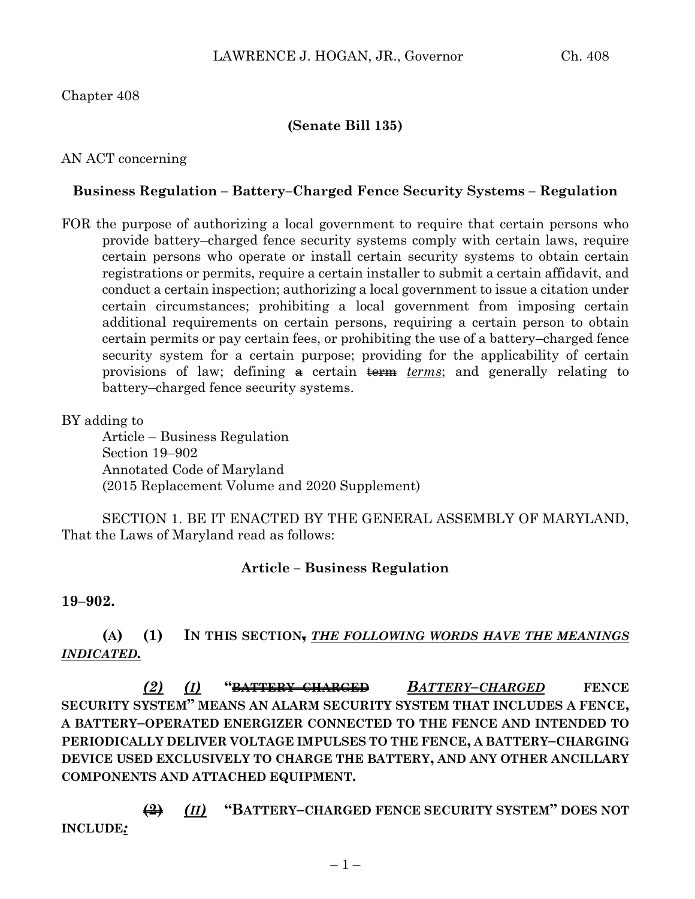## Chapter 408

## **(Senate Bill 135)**

## AN ACT concerning

## **Business Regulation – Battery–Charged Fence Security Systems – Regulation**

FOR the purpose of authorizing a local government to require that certain persons who provide battery–charged fence security systems comply with certain laws, require certain persons who operate or install certain security systems to obtain certain registrations or permits, require a certain installer to submit a certain affidavit, and conduct a certain inspection; authorizing a local government to issue a citation under certain circumstances; prohibiting a local government from imposing certain additional requirements on certain persons, requiring a certain person to obtain certain permits or pay certain fees, or prohibiting the use of a battery–charged fence security system for a certain purpose; providing for the applicability of certain provisions of law; defining  $\#$  certain  $\#$ *erme terms*; and generally relating to battery–charged fence security systems.

## BY adding to

Article – Business Regulation Section 19–902 Annotated Code of Maryland (2015 Replacement Volume and 2020 Supplement)

SECTION 1. BE IT ENACTED BY THE GENERAL ASSEMBLY OF MARYLAND, That the Laws of Maryland read as follows:

## **Article – Business Regulation**

#### **19–902.**

# **(A) (1) IN THIS SECTION,** *THE FOLLOWING WORDS HAVE THE MEANINGS INDICATED.*

*(2) (I)* **"BATTERY–CHARGED** *BATTERY–CHARGED* **FENCE SECURITY SYSTEM" MEANS AN ALARM SECURITY SYSTEM THAT INCLUDES A FENCE, A BATTERY–OPERATED ENERGIZER CONNECTED TO THE FENCE AND INTENDED TO PERIODICALLY DELIVER VOLTAGE IMPULSES TO THE FENCE, A BATTERY–CHARGING DEVICE USED EXCLUSIVELY TO CHARGE THE BATTERY, AND ANY OTHER ANCILLARY COMPONENTS AND ATTACHED EQUIPMENT.**

**(2)** *(II)* **"BATTERY–CHARGED FENCE SECURITY SYSTEM" DOES NOT INCLUDE***:*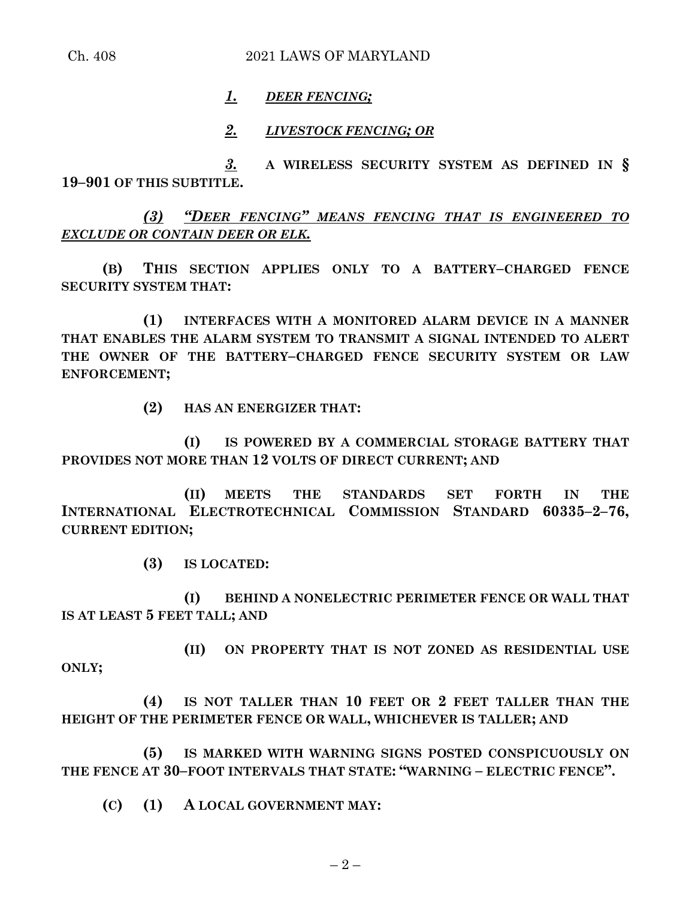## *1. DEER FENCING;*

#### *2. LIVESTOCK FENCING; OR*

*3.* **A WIRELESS SECURITY SYSTEM AS DEFINED IN § 19–901 OF THIS SUBTITLE.**

*(3) "DEER FENCING" MEANS FENCING THAT IS ENGINEERED TO EXCLUDE OR CONTAIN DEER OR ELK.*

**(B) THIS SECTION APPLIES ONLY TO A BATTERY–CHARGED FENCE SECURITY SYSTEM THAT:**

**(1) INTERFACES WITH A MONITORED ALARM DEVICE IN A MANNER THAT ENABLES THE ALARM SYSTEM TO TRANSMIT A SIGNAL INTENDED TO ALERT THE OWNER OF THE BATTERY–CHARGED FENCE SECURITY SYSTEM OR LAW ENFORCEMENT;**

**(2) HAS AN ENERGIZER THAT:**

**(I) IS POWERED BY A COMMERCIAL STORAGE BATTERY THAT PROVIDES NOT MORE THAN 12 VOLTS OF DIRECT CURRENT; AND**

**(II) MEETS THE STANDARDS SET FORTH IN THE INTERNATIONAL ELECTROTECHNICAL COMMISSION STANDARD 60335–2–76, CURRENT EDITION;**

**(3) IS LOCATED:**

**(I) BEHIND A NONELECTRIC PERIMETER FENCE OR WALL THAT IS AT LEAST 5 FEET TALL; AND**

**(II) ON PROPERTY THAT IS NOT ZONED AS RESIDENTIAL USE ONLY;**

**(4) IS NOT TALLER THAN 10 FEET OR 2 FEET TALLER THAN THE HEIGHT OF THE PERIMETER FENCE OR WALL, WHICHEVER IS TALLER; AND** 

**(5) IS MARKED WITH WARNING SIGNS POSTED CONSPICUOUSLY ON THE FENCE AT 30–FOOT INTERVALS THAT STATE: "WARNING – ELECTRIC FENCE".**

**(C) (1) A LOCAL GOVERNMENT MAY:**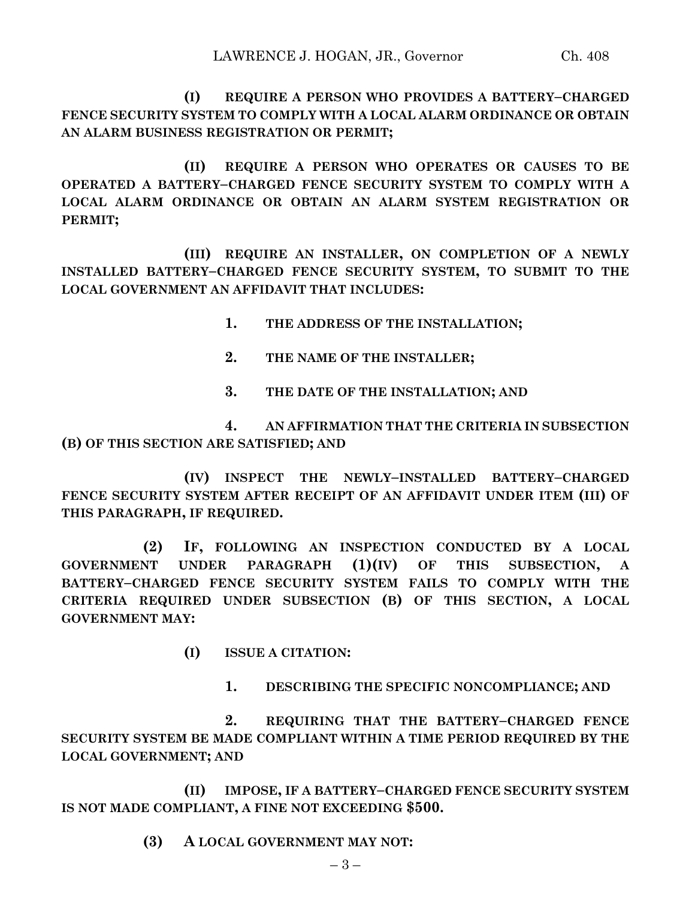**(I) REQUIRE A PERSON WHO PROVIDES A BATTERY–CHARGED FENCE SECURITY SYSTEM TO COMPLY WITH A LOCAL ALARM ORDINANCE OR OBTAIN AN ALARM BUSINESS REGISTRATION OR PERMIT;**

**(II) REQUIRE A PERSON WHO OPERATES OR CAUSES TO BE OPERATED A BATTERY–CHARGED FENCE SECURITY SYSTEM TO COMPLY WITH A LOCAL ALARM ORDINANCE OR OBTAIN AN ALARM SYSTEM REGISTRATION OR PERMIT;**

**(III) REQUIRE AN INSTALLER, ON COMPLETION OF A NEWLY INSTALLED BATTERY–CHARGED FENCE SECURITY SYSTEM, TO SUBMIT TO THE LOCAL GOVERNMENT AN AFFIDAVIT THAT INCLUDES:**

- **1. THE ADDRESS OF THE INSTALLATION;**
- **2. THE NAME OF THE INSTALLER;**
- **3. THE DATE OF THE INSTALLATION; AND**

**4. AN AFFIRMATION THAT THE CRITERIA IN SUBSECTION (B) OF THIS SECTION ARE SATISFIED; AND**

**(IV) INSPECT THE NEWLY–INSTALLED BATTERY–CHARGED FENCE SECURITY SYSTEM AFTER RECEIPT OF AN AFFIDAVIT UNDER ITEM (III) OF THIS PARAGRAPH, IF REQUIRED.**

**(2) IF, FOLLOWING AN INSPECTION CONDUCTED BY A LOCAL GOVERNMENT UNDER PARAGRAPH (1)(IV) OF THIS SUBSECTION, A BATTERY–CHARGED FENCE SECURITY SYSTEM FAILS TO COMPLY WITH THE CRITERIA REQUIRED UNDER SUBSECTION (B) OF THIS SECTION, A LOCAL GOVERNMENT MAY:**

- **(I) ISSUE A CITATION:**
	- **1. DESCRIBING THE SPECIFIC NONCOMPLIANCE; AND**

**2. REQUIRING THAT THE BATTERY–CHARGED FENCE SECURITY SYSTEM BE MADE COMPLIANT WITHIN A TIME PERIOD REQUIRED BY THE LOCAL GOVERNMENT; AND**

**(II) IMPOSE, IF A BATTERY–CHARGED FENCE SECURITY SYSTEM IS NOT MADE COMPLIANT, A FINE NOT EXCEEDING \$500.**

## **(3) A LOCAL GOVERNMENT MAY NOT:**